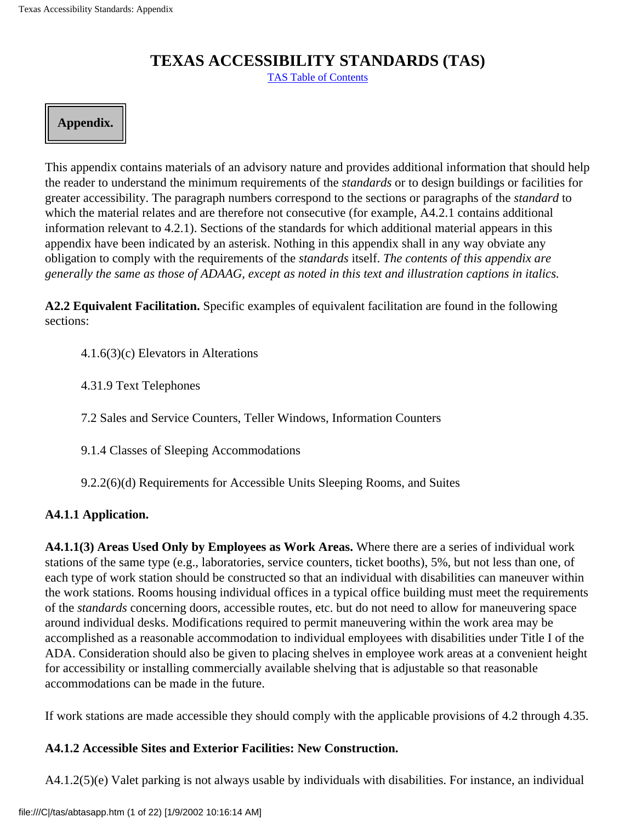# **TEXAS ACCESSIBILITY STANDARDS (TAS)**

TAS Table of Contents

# **Appendix.**

This appendix contains materials of an advisory nature and provides additional information that should help the reader to understand the minimum requirements of the *standards* or to design buildings or facilities for greater accessibility. The paragraph numbers correspond to the sections or paragraphs of the *standard* to which the material relates and are therefore not consecutive (for example, A4.2.1 contains additional information relevant to 4.2.1). Sections of the standards for which additional material appears in this appendix have been indicated by an asterisk. Nothing in this appendix shall in any way obviate any obligation to comply with the requirements of the *standards* itself. *The contents of this appendix are generally the same as those of ADAAG, except as noted in this text and illustration captions in italics.*

**A2.2 Equivalent Facilitation.** Specific examples of equivalent facilitation are found in the following sections:

## 4.1.6(3)(c) Elevators in Alterations

4.31.9 Text Telephones

7.2 Sales and Service Counters, Teller Windows, Information Counters

9.1.4 Classes of Sleeping Accommodations

9.2.2(6)(d) Requirements for Accessible Units Sleeping Rooms, and Suites

# **A4.1.1 Application.**

**A4.1.1(3) Areas Used Only by Employees as Work Areas.** Where there are a series of individual work stations of the same type (e.g., laboratories, service counters, ticket booths), 5%, but not less than one, of each type of work station should be constructed so that an individual with disabilities can maneuver within the work stations. Rooms housing individual offices in a typical office building must meet the requirements of the *standards* concerning doors, accessible routes, etc. but do not need to allow for maneuvering space around individual desks. Modifications required to permit maneuvering within the work area may be accomplished as a reasonable accommodation to individual employees with disabilities under Title I of the ADA. Consideration should also be given to placing shelves in employee work areas at a convenient height for accessibility or installing commercially available shelving that is adjustable so that reasonable accommodations can be made in the future.

If work stations are made accessible they should comply with the applicable provisions of 4.2 through 4.35.

# **A4.1.2 Accessible Sites and Exterior Facilities: New Construction.**

A4.1.2(5)(e) Valet parking is not always usable by individuals with disabilities. For instance, an individual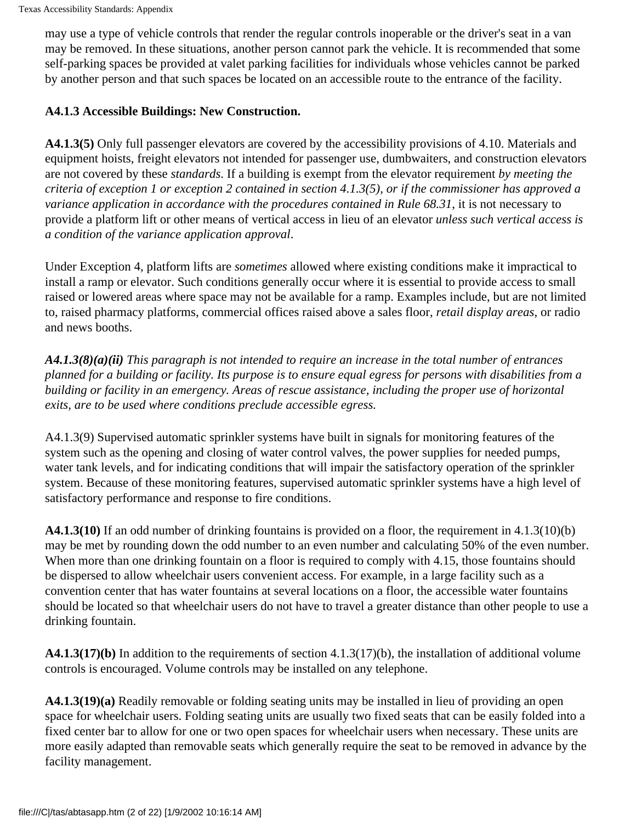may use a type of vehicle controls that render the regular controls inoperable or the driver's seat in a van may be removed. In these situations, another person cannot park the vehicle. It is recommended that some self-parking spaces be provided at valet parking facilities for individuals whose vehicles cannot be parked by another person and that such spaces be located on an accessible route to the entrance of the facility.

## **A4.1.3 Accessible Buildings: New Construction.**

**A4.1.3(5)** Only full passenger elevators are covered by the accessibility provisions of 4.10. Materials and equipment hoists, freight elevators not intended for passenger use, dumbwaiters, and construction elevators are not covered by these *standards*. If a building is exempt from the elevator requirement *by meeting the criteria of exception 1 or exception 2 contained in section 4.1.3(5), or if the commissioner has approved a variance application in accordance with the procedures contained in Rule 68.31*, it is not necessary to provide a platform lift or other means of vertical access in lieu of an elevator *unless such vertical access is a condition of the variance application approval*.

Under Exception 4, platform lifts are *sometimes* allowed where existing conditions make it impractical to install a ramp or elevator. Such conditions generally occur where it is essential to provide access to small raised or lowered areas where space may not be available for a ramp. Examples include, but are not limited to, raised pharmacy platforms, commercial offices raised above a sales floor*, retail display areas*, or radio and news booths.

*A4.1.3(8)(a)(ii) This paragraph is not intended to require an increase in the total number of entrances planned for a building or facility. Its purpose is to ensure equal egress for persons with disabilities from a building or facility in an emergency. Areas of rescue assistance, including the proper use of horizontal exits, are to be used where conditions preclude accessible egress.*

A4.1.3(9) Supervised automatic sprinkler systems have built in signals for monitoring features of the system such as the opening and closing of water control valves, the power supplies for needed pumps, water tank levels, and for indicating conditions that will impair the satisfactory operation of the sprinkler system. Because of these monitoring features, supervised automatic sprinkler systems have a high level of satisfactory performance and response to fire conditions.

**A4.1.3(10)** If an odd number of drinking fountains is provided on a floor, the requirement in 4.1.3(10)(b) may be met by rounding down the odd number to an even number and calculating 50% of the even number. When more than one drinking fountain on a floor is required to comply with 4.15, those fountains should be dispersed to allow wheelchair users convenient access. For example, in a large facility such as a convention center that has water fountains at several locations on a floor, the accessible water fountains should be located so that wheelchair users do not have to travel a greater distance than other people to use a drinking fountain.

**A4.1.3(17)(b)** In addition to the requirements of section 4.1.3(17)(b), the installation of additional volume controls is encouraged. Volume controls may be installed on any telephone.

**A4.1.3(19)(a)** Readily removable or folding seating units may be installed in lieu of providing an open space for wheelchair users. Folding seating units are usually two fixed seats that can be easily folded into a fixed center bar to allow for one or two open spaces for wheelchair users when necessary. These units are more easily adapted than removable seats which generally require the seat to be removed in advance by the facility management.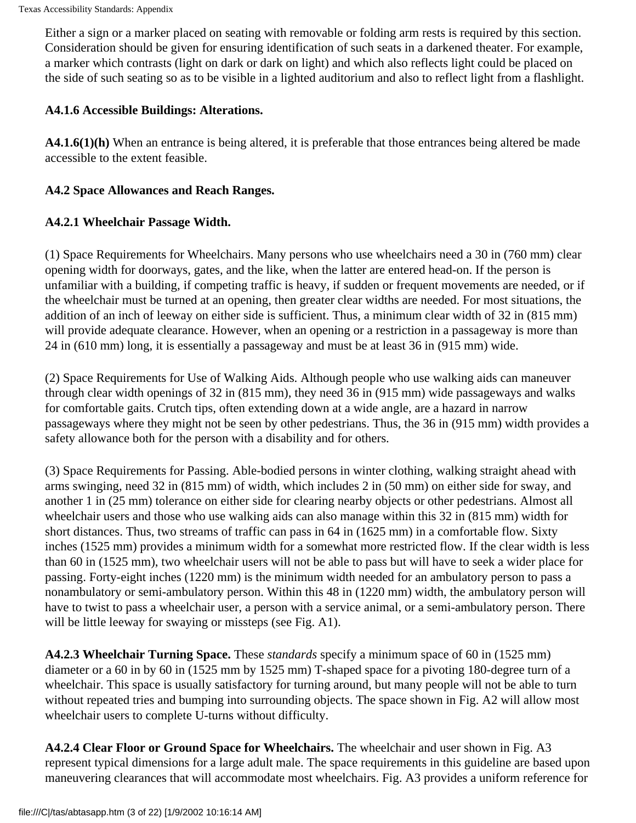Either a sign or a marker placed on seating with removable or folding arm rests is required by this section. Consideration should be given for ensuring identification of such seats in a darkened theater. For example, a marker which contrasts (light on dark or dark on light) and which also reflects light could be placed on the side of such seating so as to be visible in a lighted auditorium and also to reflect light from a flashlight.

# **A4.1.6 Accessible Buildings: Alterations.**

**A4.1.6(1)(h)** When an entrance is being altered, it is preferable that those entrances being altered be made accessible to the extent feasible.

## **A4.2 Space Allowances and Reach Ranges.**

# **A4.2.1 Wheelchair Passage Width.**

(1) Space Requirements for Wheelchairs. Many persons who use wheelchairs need a 30 in (760 mm) clear opening width for doorways, gates, and the like, when the latter are entered head-on. If the person is unfamiliar with a building, if competing traffic is heavy, if sudden or frequent movements are needed, or if the wheelchair must be turned at an opening, then greater clear widths are needed. For most situations, the addition of an inch of leeway on either side is sufficient. Thus, a minimum clear width of 32 in (815 mm) will provide adequate clearance. However, when an opening or a restriction in a passageway is more than 24 in (610 mm) long, it is essentially a passageway and must be at least 36 in (915 mm) wide.

(2) Space Requirements for Use of Walking Aids. Although people who use walking aids can maneuver through clear width openings of 32 in (815 mm), they need 36 in (915 mm) wide passageways and walks for comfortable gaits. Crutch tips, often extending down at a wide angle, are a hazard in narrow passageways where they might not be seen by other pedestrians. Thus, the 36 in (915 mm) width provides a safety allowance both for the person with a disability and for others.

(3) Space Requirements for Passing. Able-bodied persons in winter clothing, walking straight ahead with arms swinging, need 32 in (815 mm) of width, which includes 2 in (50 mm) on either side for sway, and another 1 in (25 mm) tolerance on either side for clearing nearby objects or other pedestrians. Almost all wheelchair users and those who use walking aids can also manage within this 32 in (815 mm) width for short distances. Thus, two streams of traffic can pass in 64 in (1625 mm) in a comfortable flow. Sixty inches (1525 mm) provides a minimum width for a somewhat more restricted flow. If the clear width is less than 60 in (1525 mm), two wheelchair users will not be able to pass but will have to seek a wider place for passing. Forty-eight inches (1220 mm) is the minimum width needed for an ambulatory person to pass a nonambulatory or semi-ambulatory person. Within this 48 in (1220 mm) width, the ambulatory person will have to twist to pass a wheelchair user, a person with a service animal, or a semi-ambulatory person. There will be little leeway for swaying or missteps (see Fig. A1).

**A4.2.3 Wheelchair Turning Space.** These *standards* specify a minimum space of 60 in (1525 mm) diameter or a 60 in by 60 in (1525 mm by 1525 mm) T-shaped space for a pivoting 180-degree turn of a wheelchair. This space is usually satisfactory for turning around, but many people will not be able to turn without repeated tries and bumping into surrounding objects. The space shown in Fig. A2 will allow most wheelchair users to complete U-turns without difficulty.

**A4.2.4 Clear Floor or Ground Space for Wheelchairs.** The wheelchair and user shown in Fig. A3 represent typical dimensions for a large adult male. The space requirements in this guideline are based upon maneuvering clearances that will accommodate most wheelchairs. Fig. A3 provides a uniform reference for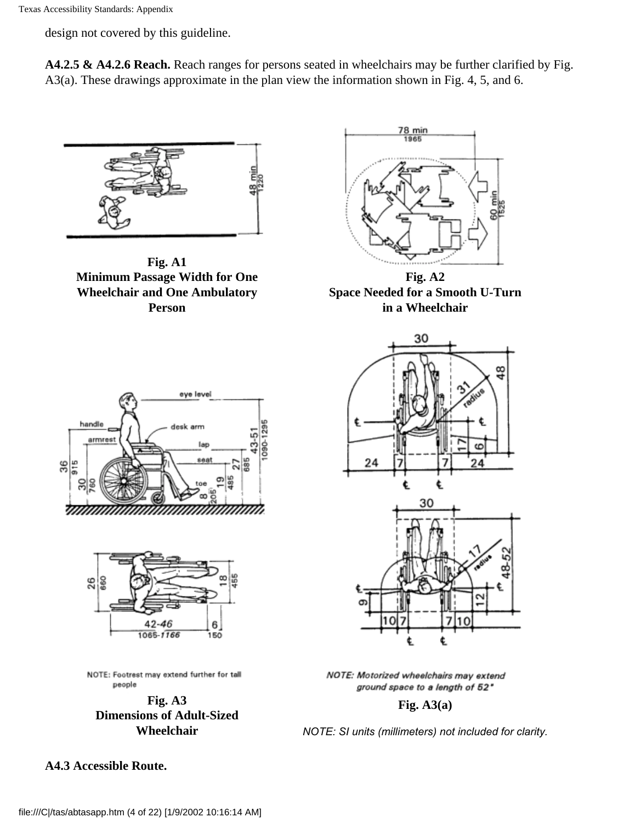design not covered by this guideline.

**A4.2.5 & A4.2.6 Reach.** Reach ranges for persons seated in wheelchairs may be further clarified by Fig. A3(a). These drawings approximate in the plan view the information shown in Fig. 4, 5, and 6.



**Fig. A1 Minimum Passage Width for One Wheelchair and One Ambulatory Person**



**Fig. A2 Space Needed for a Smooth U-Turn in a Wheelchair**







**Fig. A3 Dimensions of Adult-Sized Wheelchair**



NOTE: Motorized wheelchairs may extend ground space to a length of 52\*

**Fig. A3(a)**

*NOTE: SI units (millimeters) not included for clarity.*

**A4.3 Accessible Route.**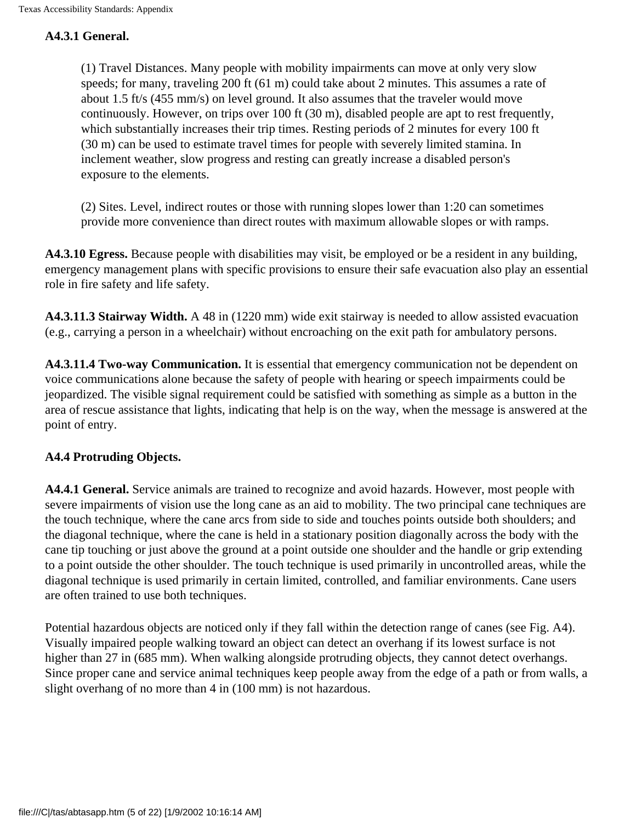## **A4.3.1 General.**

(1) Travel Distances. Many people with mobility impairments can move at only very slow speeds; for many, traveling 200 ft (61 m) could take about 2 minutes. This assumes a rate of about 1.5 ft/s (455 mm/s) on level ground. It also assumes that the traveler would move continuously. However, on trips over 100 ft (30 m), disabled people are apt to rest frequently, which substantially increases their trip times. Resting periods of 2 minutes for every 100 ft (30 m) can be used to estimate travel times for people with severely limited stamina. In inclement weather, slow progress and resting can greatly increase a disabled person's exposure to the elements.

(2) Sites. Level, indirect routes or those with running slopes lower than 1:20 can sometimes provide more convenience than direct routes with maximum allowable slopes or with ramps.

**A4.3.10 Egress.** Because people with disabilities may visit, be employed or be a resident in any building, emergency management plans with specific provisions to ensure their safe evacuation also play an essential role in fire safety and life safety.

**A4.3.11.3 Stairway Width.** A 48 in (1220 mm) wide exit stairway is needed to allow assisted evacuation (e.g., carrying a person in a wheelchair) without encroaching on the exit path for ambulatory persons.

**A4.3.11.4 Two-way Communication.** It is essential that emergency communication not be dependent on voice communications alone because the safety of people with hearing or speech impairments could be jeopardized. The visible signal requirement could be satisfied with something as simple as a button in the area of rescue assistance that lights, indicating that help is on the way, when the message is answered at the point of entry.

# **A4.4 Protruding Objects.**

**A4.4.1 General.** Service animals are trained to recognize and avoid hazards. However, most people with severe impairments of vision use the long cane as an aid to mobility. The two principal cane techniques are the touch technique, where the cane arcs from side to side and touches points outside both shoulders; and the diagonal technique, where the cane is held in a stationary position diagonally across the body with the cane tip touching or just above the ground at a point outside one shoulder and the handle or grip extending to a point outside the other shoulder. The touch technique is used primarily in uncontrolled areas, while the diagonal technique is used primarily in certain limited, controlled, and familiar environments. Cane users are often trained to use both techniques.

Potential hazardous objects are noticed only if they fall within the detection range of canes (see Fig. A4). Visually impaired people walking toward an object can detect an overhang if its lowest surface is not higher than 27 in (685 mm). When walking alongside protruding objects, they cannot detect overhangs. Since proper cane and service animal techniques keep people away from the edge of a path or from walls, a slight overhang of no more than 4 in (100 mm) is not hazardous.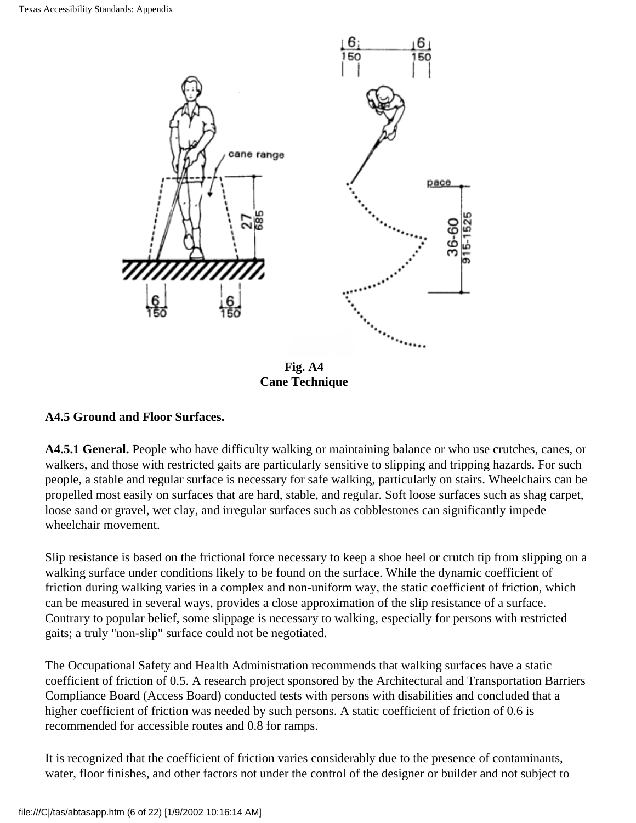

**Fig. A4 Cane Technique**

# **A4.5 Ground and Floor Surfaces.**

**A4.5.1 General.** People who have difficulty walking or maintaining balance or who use crutches, canes, or walkers, and those with restricted gaits are particularly sensitive to slipping and tripping hazards. For such people, a stable and regular surface is necessary for safe walking, particularly on stairs. Wheelchairs can be propelled most easily on surfaces that are hard, stable, and regular. Soft loose surfaces such as shag carpet, loose sand or gravel, wet clay, and irregular surfaces such as cobblestones can significantly impede wheelchair movement.

Slip resistance is based on the frictional force necessary to keep a shoe heel or crutch tip from slipping on a walking surface under conditions likely to be found on the surface. While the dynamic coefficient of friction during walking varies in a complex and non-uniform way, the static coefficient of friction, which can be measured in several ways, provides a close approximation of the slip resistance of a surface. Contrary to popular belief, some slippage is necessary to walking, especially for persons with restricted gaits; a truly "non-slip" surface could not be negotiated.

The Occupational Safety and Health Administration recommends that walking surfaces have a static coefficient of friction of 0.5. A research project sponsored by the Architectural and Transportation Barriers Compliance Board (Access Board) conducted tests with persons with disabilities and concluded that a higher coefficient of friction was needed by such persons. A static coefficient of friction of 0.6 is recommended for accessible routes and 0.8 for ramps.

It is recognized that the coefficient of friction varies considerably due to the presence of contaminants, water, floor finishes, and other factors not under the control of the designer or builder and not subject to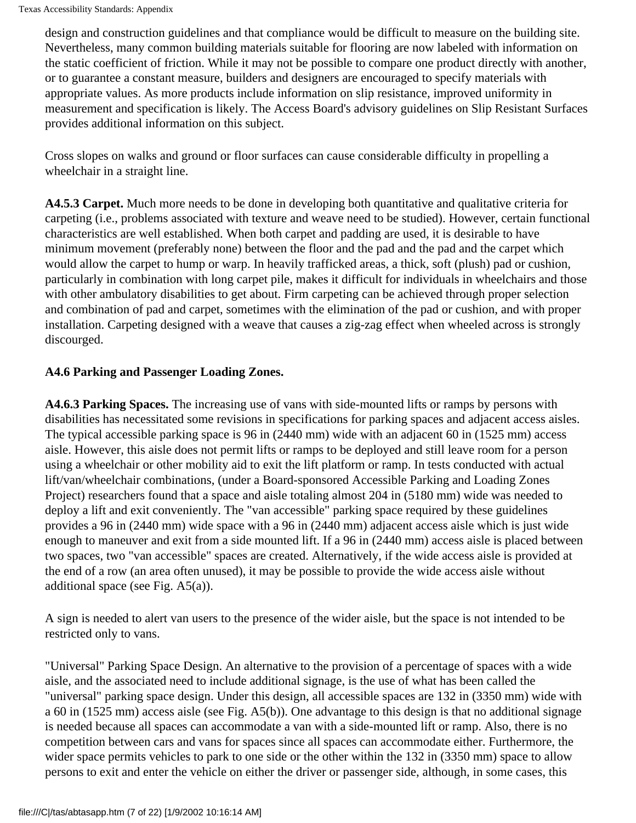design and construction guidelines and that compliance would be difficult to measure on the building site. Nevertheless, many common building materials suitable for flooring are now labeled with information on the static coefficient of friction. While it may not be possible to compare one product directly with another, or to guarantee a constant measure, builders and designers are encouraged to specify materials with appropriate values. As more products include information on slip resistance, improved uniformity in measurement and specification is likely. The Access Board's advisory guidelines on Slip Resistant Surfaces provides additional information on this subject.

Cross slopes on walks and ground or floor surfaces can cause considerable difficulty in propelling a wheelchair in a straight line.

**A4.5.3 Carpet.** Much more needs to be done in developing both quantitative and qualitative criteria for carpeting (i.e., problems associated with texture and weave need to be studied). However, certain functional characteristics are well established. When both carpet and padding are used, it is desirable to have minimum movement (preferably none) between the floor and the pad and the pad and the carpet which would allow the carpet to hump or warp. In heavily trafficked areas, a thick, soft (plush) pad or cushion, particularly in combination with long carpet pile, makes it difficult for individuals in wheelchairs and those with other ambulatory disabilities to get about. Firm carpeting can be achieved through proper selection and combination of pad and carpet, sometimes with the elimination of the pad or cushion, and with proper installation. Carpeting designed with a weave that causes a zig-zag effect when wheeled across is strongly discourged.

## **A4.6 Parking and Passenger Loading Zones.**

**A4.6.3 Parking Spaces.** The increasing use of vans with side-mounted lifts or ramps by persons with disabilities has necessitated some revisions in specifications for parking spaces and adjacent access aisles. The typical accessible parking space is 96 in (2440 mm) wide with an adjacent 60 in (1525 mm) access aisle. However, this aisle does not permit lifts or ramps to be deployed and still leave room for a person using a wheelchair or other mobility aid to exit the lift platform or ramp. In tests conducted with actual lift/van/wheelchair combinations, (under a Board-sponsored Accessible Parking and Loading Zones Project) researchers found that a space and aisle totaling almost 204 in (5180 mm) wide was needed to deploy a lift and exit conveniently. The "van accessible" parking space required by these guidelines provides a 96 in (2440 mm) wide space with a 96 in (2440 mm) adjacent access aisle which is just wide enough to maneuver and exit from a side mounted lift. If a 96 in (2440 mm) access aisle is placed between two spaces, two "van accessible" spaces are created. Alternatively, if the wide access aisle is provided at the end of a row (an area often unused), it may be possible to provide the wide access aisle without additional space (see Fig. A5(a)).

A sign is needed to alert van users to the presence of the wider aisle, but the space is not intended to be restricted only to vans.

"Universal" Parking Space Design. An alternative to the provision of a percentage of spaces with a wide aisle, and the associated need to include additional signage, is the use of what has been called the "universal" parking space design. Under this design, all accessible spaces are 132 in (3350 mm) wide with a 60 in (1525 mm) access aisle (see Fig. A5(b)). One advantage to this design is that no additional signage is needed because all spaces can accommodate a van with a side-mounted lift or ramp. Also, there is no competition between cars and vans for spaces since all spaces can accommodate either. Furthermore, the wider space permits vehicles to park to one side or the other within the 132 in (3350 mm) space to allow persons to exit and enter the vehicle on either the driver or passenger side, although, in some cases, this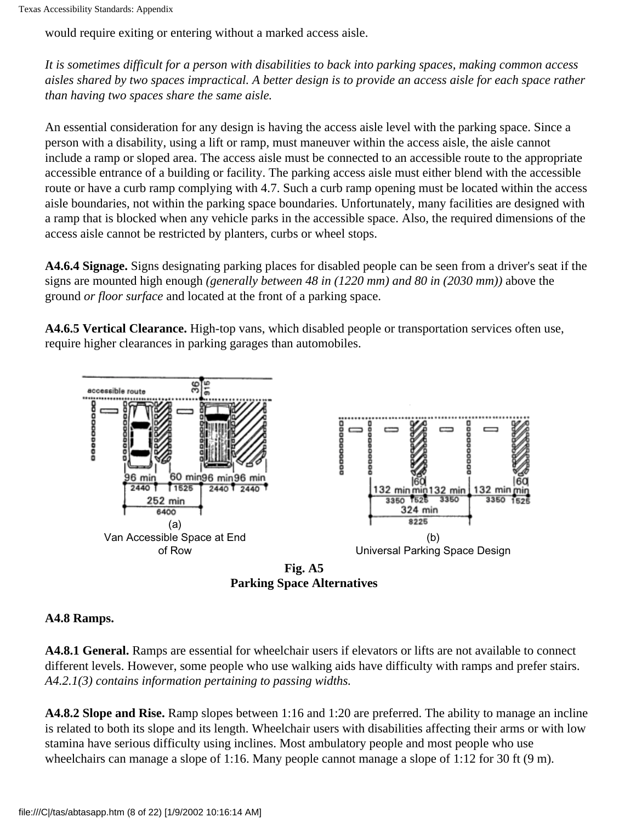would require exiting or entering without a marked access aisle.

*It is sometimes difficult for a person with disabilities to back into parking spaces, making common access aisles shared by two spaces impractical. A better design is to provide an access aisle for each space rather than having two spaces share the same aisle.*

An essential consideration for any design is having the access aisle level with the parking space. Since a person with a disability, using a lift or ramp, must maneuver within the access aisle, the aisle cannot include a ramp or sloped area. The access aisle must be connected to an accessible route to the appropriate accessible entrance of a building or facility. The parking access aisle must either blend with the accessible route or have a curb ramp complying with 4.7. Such a curb ramp opening must be located within the access aisle boundaries, not within the parking space boundaries. Unfortunately, many facilities are designed with a ramp that is blocked when any vehicle parks in the accessible space. Also, the required dimensions of the access aisle cannot be restricted by planters, curbs or wheel stops.

**A4.6.4 Signage.** Signs designating parking places for disabled people can be seen from a driver's seat if the signs are mounted high enough *(generally between 48 in (1220 mm) and 80 in (2030 mm))* above the ground *or floor surface* and located at the front of a parking space.

**A4.6.5 Vertical Clearance.** High-top vans, which disabled people or transportation services often use, require higher clearances in parking garages than automobiles.



**Parking Space Alternatives**

## **A4.8 Ramps.**

**A4.8.1 General.** Ramps are essential for wheelchair users if elevators or lifts are not available to connect different levels. However, some people who use walking aids have difficulty with ramps and prefer stairs. *A4.2.1(3) contains information pertaining to passing widths.*

**A4.8.2 Slope and Rise.** Ramp slopes between 1:16 and 1:20 are preferred. The ability to manage an incline is related to both its slope and its length. Wheelchair users with disabilities affecting their arms or with low stamina have serious difficulty using inclines. Most ambulatory people and most people who use wheelchairs can manage a slope of 1:16. Many people cannot manage a slope of 1:12 for 30 ft (9 m).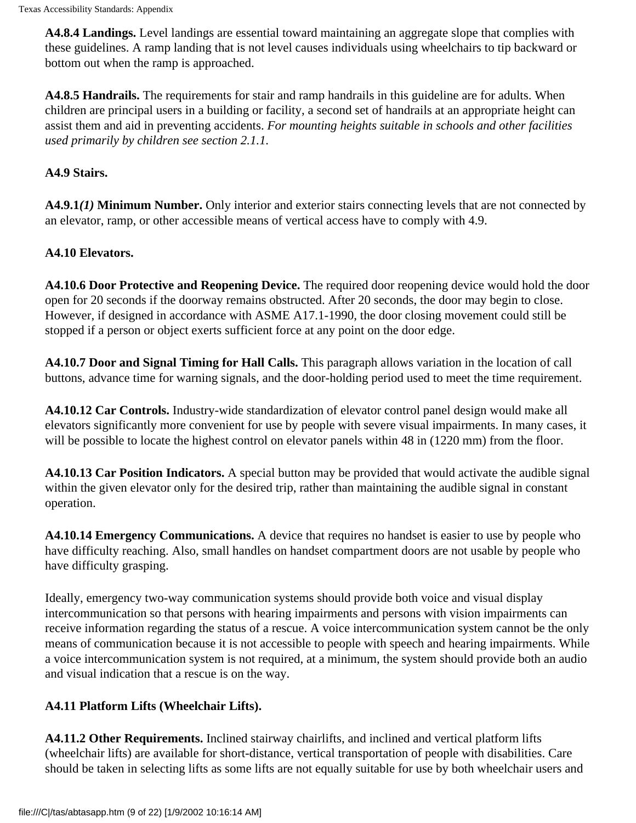**A4.8.4 Landings.** Level landings are essential toward maintaining an aggregate slope that complies with these guidelines. A ramp landing that is not level causes individuals using wheelchairs to tip backward or bottom out when the ramp is approached.

**A4.8.5 Handrails.** The requirements for stair and ramp handrails in this guideline are for adults. When children are principal users in a building or facility, a second set of handrails at an appropriate height can assist them and aid in preventing accidents. *For mounting heights suitable in schools and other facilities used primarily by children see section 2.1.1.*

## **A4.9 Stairs.**

**A4.9.1***(1)* **Minimum Number.** Only interior and exterior stairs connecting levels that are not connected by an elevator, ramp, or other accessible means of vertical access have to comply with 4.9.

## **A4.10 Elevators.**

**A4.10.6 Door Protective and Reopening Device.** The required door reopening device would hold the door open for 20 seconds if the doorway remains obstructed. After 20 seconds, the door may begin to close. However, if designed in accordance with ASME A17.1-1990, the door closing movement could still be stopped if a person or object exerts sufficient force at any point on the door edge.

**A4.10.7 Door and Signal Timing for Hall Calls.** This paragraph allows variation in the location of call buttons, advance time for warning signals, and the door-holding period used to meet the time requirement.

**A4.10.12 Car Controls.** Industry-wide standardization of elevator control panel design would make all elevators significantly more convenient for use by people with severe visual impairments. In many cases, it will be possible to locate the highest control on elevator panels within 48 in (1220 mm) from the floor.

**A4.10.13 Car Position Indicators.** A special button may be provided that would activate the audible signal within the given elevator only for the desired trip, rather than maintaining the audible signal in constant operation.

**A4.10.14 Emergency Communications.** A device that requires no handset is easier to use by people who have difficulty reaching. Also, small handles on handset compartment doors are not usable by people who have difficulty grasping.

Ideally, emergency two-way communication systems should provide both voice and visual display intercommunication so that persons with hearing impairments and persons with vision impairments can receive information regarding the status of a rescue. A voice intercommunication system cannot be the only means of communication because it is not accessible to people with speech and hearing impairments. While a voice intercommunication system is not required, at a minimum, the system should provide both an audio and visual indication that a rescue is on the way.

# **A4.11 Platform Lifts (Wheelchair Lifts).**

**A4.11.2 Other Requirements.** Inclined stairway chairlifts, and inclined and vertical platform lifts (wheelchair lifts) are available for short-distance, vertical transportation of people with disabilities. Care should be taken in selecting lifts as some lifts are not equally suitable for use by both wheelchair users and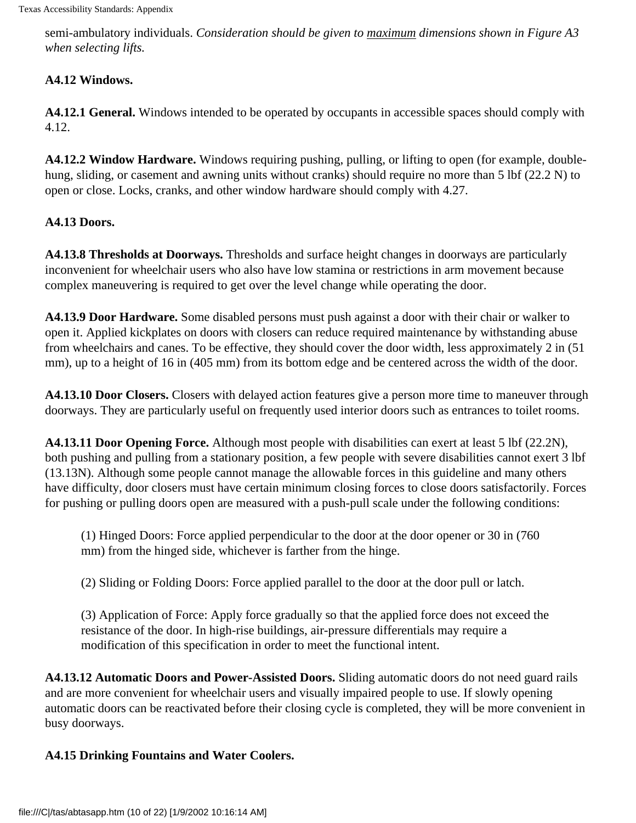semi-ambulatory individuals. *Consideration should be given to maximum dimensions shown in Figure A3 when selecting lifts.*

# **A4.12 Windows.**

**A4.12.1 General.** Windows intended to be operated by occupants in accessible spaces should comply with 4.12.

**A4.12.2 Window Hardware.** Windows requiring pushing, pulling, or lifting to open (for example, doublehung, sliding, or casement and awning units without cranks) should require no more than 5 lbf (22.2 N) to open or close. Locks, cranks, and other window hardware should comply with 4.27.

# **A4.13 Doors.**

**A4.13.8 Thresholds at Doorways.** Thresholds and surface height changes in doorways are particularly inconvenient for wheelchair users who also have low stamina or restrictions in arm movement because complex maneuvering is required to get over the level change while operating the door.

**A4.13.9 Door Hardware.** Some disabled persons must push against a door with their chair or walker to open it. Applied kickplates on doors with closers can reduce required maintenance by withstanding abuse from wheelchairs and canes. To be effective, they should cover the door width, less approximately 2 in (51 mm), up to a height of 16 in (405 mm) from its bottom edge and be centered across the width of the door.

**A4.13.10 Door Closers.** Closers with delayed action features give a person more time to maneuver through doorways. They are particularly useful on frequently used interior doors such as entrances to toilet rooms.

**A4.13.11 Door Opening Force.** Although most people with disabilities can exert at least 5 lbf (22.2N), both pushing and pulling from a stationary position, a few people with severe disabilities cannot exert 3 lbf (13.13N). Although some people cannot manage the allowable forces in this guideline and many others have difficulty, door closers must have certain minimum closing forces to close doors satisfactorily. Forces for pushing or pulling doors open are measured with a push-pull scale under the following conditions:

(1) Hinged Doors: Force applied perpendicular to the door at the door opener or 30 in (760 mm) from the hinged side, whichever is farther from the hinge.

(2) Sliding or Folding Doors: Force applied parallel to the door at the door pull or latch.

(3) Application of Force: Apply force gradually so that the applied force does not exceed the resistance of the door. In high-rise buildings, air-pressure differentials may require a modification of this specification in order to meet the functional intent.

**A4.13.12 Automatic Doors and Power-Assisted Doors.** Sliding automatic doors do not need guard rails and are more convenient for wheelchair users and visually impaired people to use. If slowly opening automatic doors can be reactivated before their closing cycle is completed, they will be more convenient in busy doorways.

# **A4.15 Drinking Fountains and Water Coolers.**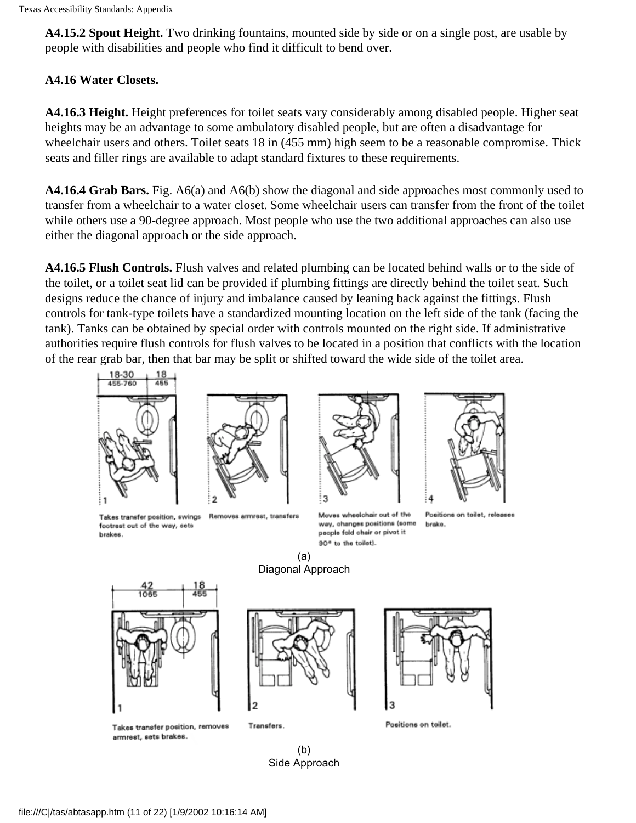**A4.15.2 Spout Height.** Two drinking fountains, mounted side by side or on a single post, are usable by people with disabilities and people who find it difficult to bend over.

## **A4.16 Water Closets.**

**A4.16.3 Height.** Height preferences for toilet seats vary considerably among disabled people. Higher seat heights may be an advantage to some ambulatory disabled people, but are often a disadvantage for wheelchair users and others. Toilet seats 18 in (455 mm) high seem to be a reasonable compromise. Thick seats and filler rings are available to adapt standard fixtures to these requirements.

**A4.16.4 Grab Bars.** Fig. A6(a) and A6(b) show the diagonal and side approaches most commonly used to transfer from a wheelchair to a water closet. Some wheelchair users can transfer from the front of the toilet while others use a 90-degree approach. Most people who use the two additional approaches can also use either the diagonal approach or the side approach.

**A4.16.5 Flush Controls.** Flush valves and related plumbing can be located behind walls or to the side of the toilet, or a toilet seat lid can be provided if plumbing fittings are directly behind the toilet seat. Such designs reduce the chance of injury and imbalance caused by leaning back against the fittings. Flush controls for tank-type toilets have a standardized mounting location on the left side of the tank (facing the tank). Tanks can be obtained by special order with controls mounted on the right side. If administrative authorities require flush controls for flush valves to be located in a position that conflicts with the location of the rear grab bar, then that bar may be split or shifted toward the wide side of the toilet area.





Takes transfer position, swings footrest out of the way, sets brakes.

Removes armrest, transfers





Moves wheelchair out of the way, changes positions (some people fold chair or pivot it 90° to the toilet).

Positions on toilet, releases brake.



Takes transfer position, removes armrest, sets brakes.



(a) Diagonal Approach





Positions on toilet.

(b) Side Approach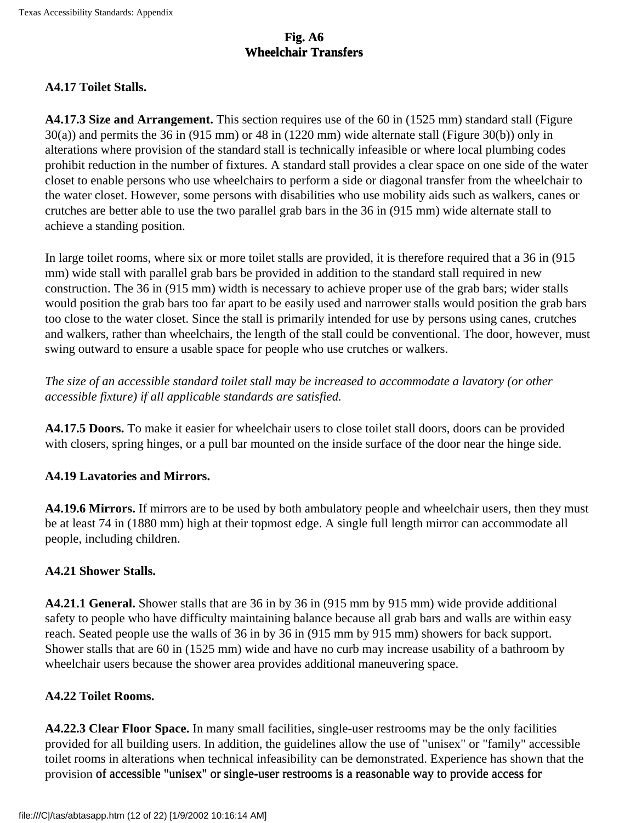# **Fig. A6 Wheelchair Transfers**

# **A4.17 Toilet Stalls.**

**A4.17.3 Size and Arrangement.** This section requires use of the 60 in (1525 mm) standard stall (Figure 30(a)) and permits the 36 in (915 mm) or 48 in (1220 mm) wide alternate stall (Figure 30(b)) only in alterations where provision of the standard stall is technically infeasible or where local plumbing codes prohibit reduction in the number of fixtures. A standard stall provides a clear space on one side of the water closet to enable persons who use wheelchairs to perform a side or diagonal transfer from the wheelchair to the water closet. However, some persons with disabilities who use mobility aids such as walkers, canes or crutches are better able to use the two parallel grab bars in the 36 in (915 mm) wide alternate stall to achieve a standing position.

In large toilet rooms, where six or more toilet stalls are provided, it is therefore required that a 36 in (915 mm) wide stall with parallel grab bars be provided in addition to the standard stall required in new construction. The 36 in (915 mm) width is necessary to achieve proper use of the grab bars; wider stalls would position the grab bars too far apart to be easily used and narrower stalls would position the grab bars too close to the water closet. Since the stall is primarily intended for use by persons using canes, crutches and walkers, rather than wheelchairs, the length of the stall could be conventional. The door, however, must swing outward to ensure a usable space for people who use crutches or walkers.

*The size of an accessible standard toilet stall may be increased to accommodate a lavatory (or other accessible fixture) if all applicable standards are satisfied.* 

**A4.17.5 Doors.** To make it easier for wheelchair users to close toilet stall doors, doors can be provided with closers, spring hinges, or a pull bar mounted on the inside surface of the door near the hinge side.

# **A4.19 Lavatories and Mirrors.**

**A4.19.6 Mirrors.** If mirrors are to be used by both ambulatory people and wheelchair users, then they must be at least 74 in (1880 mm) high at their topmost edge. A single full length mirror can accommodate all people, including children.

# **A4.21 Shower Stalls.**

**A4.21.1 General.** Shower stalls that are 36 in by 36 in (915 mm by 915 mm) wide provide additional safety to people who have difficulty maintaining balance because all grab bars and walls are within easy reach. Seated people use the walls of 36 in by 36 in (915 mm by 915 mm) showers for back support. Shower stalls that are 60 in (1525 mm) wide and have no curb may increase usability of a bathroom by wheelchair users because the shower area provides additional maneuvering space.

# **A4.22 Toilet Rooms.**

**A4.22.3 Clear Floor Space.** In many small facilities, single-user restrooms may be the only facilities provided for all building users. In addition, the guidelines allow the use of "unisex" or "family" accessible toilet rooms in alterations when technical infeasibility can be demonstrated. Experience has shown that the provision of accessible "unisex" or single-user restrooms is a reasonable way to provide access for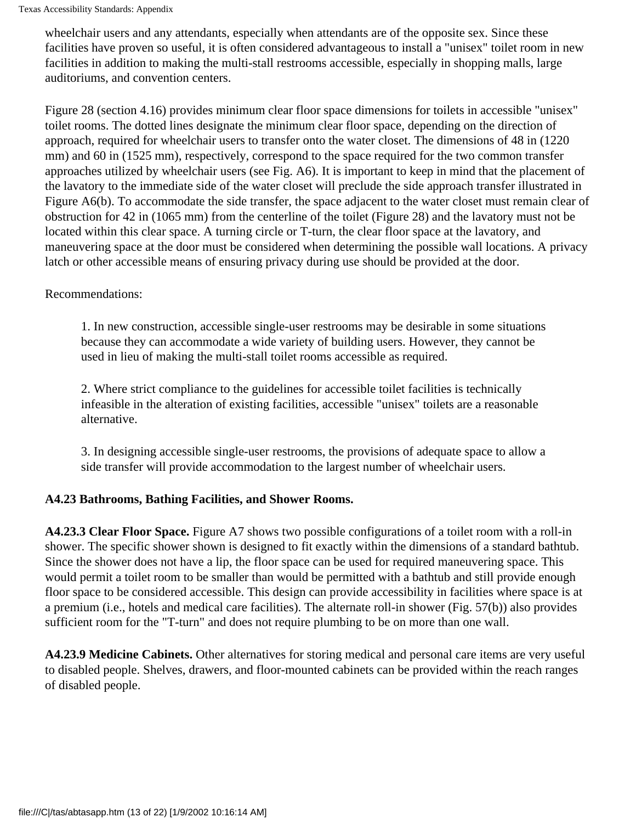wheelchair users and any attendants, especially when attendants are of the opposite sex. Since these facilities have proven so useful, it is often considered advantageous to install a "unisex" toilet room in new facilities in addition to making the multi-stall restrooms accessible, especially in shopping malls, large auditoriums, and convention centers.

Figure 28 (section 4.16) provides minimum clear floor space dimensions for toilets in accessible "unisex" toilet rooms. The dotted lines designate the minimum clear floor space, depending on the direction of approach, required for wheelchair users to transfer onto the water closet. The dimensions of 48 in (1220 mm) and 60 in (1525 mm), respectively, correspond to the space required for the two common transfer approaches utilized by wheelchair users (see Fig. A6). It is important to keep in mind that the placement of the lavatory to the immediate side of the water closet will preclude the side approach transfer illustrated in Figure A6(b). To accommodate the side transfer, the space adjacent to the water closet must remain clear of obstruction for 42 in (1065 mm) from the centerline of the toilet (Figure 28) and the lavatory must not be located within this clear space. A turning circle or T-turn, the clear floor space at the lavatory, and maneuvering space at the door must be considered when determining the possible wall locations. A privacy latch or other accessible means of ensuring privacy during use should be provided at the door.

#### Recommendations:

1. In new construction, accessible single-user restrooms may be desirable in some situations because they can accommodate a wide variety of building users. However, they cannot be used in lieu of making the multi-stall toilet rooms accessible as required.

2. Where strict compliance to the guidelines for accessible toilet facilities is technically infeasible in the alteration of existing facilities, accessible "unisex" toilets are a reasonable alternative.

3. In designing accessible single-user restrooms, the provisions of adequate space to allow a side transfer will provide accommodation to the largest number of wheelchair users.

## **A4.23 Bathrooms, Bathing Facilities, and Shower Rooms.**

**A4.23.3 Clear Floor Space.** Figure A7 shows two possible configurations of a toilet room with a roll-in shower. The specific shower shown is designed to fit exactly within the dimensions of a standard bathtub. Since the shower does not have a lip, the floor space can be used for required maneuvering space. This would permit a toilet room to be smaller than would be permitted with a bathtub and still provide enough floor space to be considered accessible. This design can provide accessibility in facilities where space is at a premium (i.e., hotels and medical care facilities). The alternate roll-in shower (Fig. 57(b)) also provides sufficient room for the "T-turn" and does not require plumbing to be on more than one wall.

**A4.23.9 Medicine Cabinets.** Other alternatives for storing medical and personal care items are very useful to disabled people. Shelves, drawers, and floor-mounted cabinets can be provided within the reach ranges of disabled people.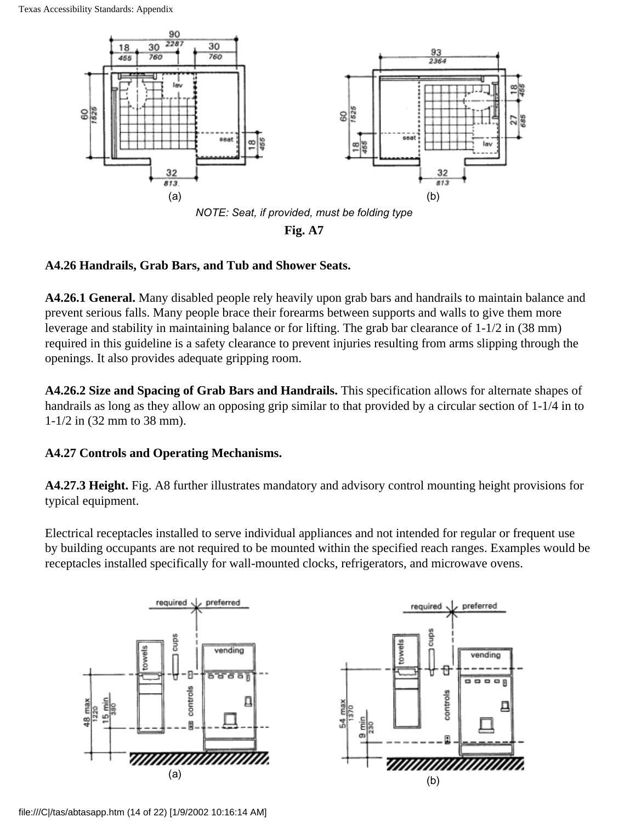

*NOTE: Seat, if provided, must be folding type*

**Fig. A7**

## **A4.26 Handrails, Grab Bars, and Tub and Shower Seats.**

**A4.26.1 General.** Many disabled people rely heavily upon grab bars and handrails to maintain balance and prevent serious falls. Many people brace their forearms between supports and walls to give them more leverage and stability in maintaining balance or for lifting. The grab bar clearance of 1-1/2 in (38 mm) required in this guideline is a safety clearance to prevent injuries resulting from arms slipping through the openings. It also provides adequate gripping room.

**A4.26.2 Size and Spacing of Grab Bars and Handrails.** This specification allows for alternate shapes of handrails as long as they allow an opposing grip similar to that provided by a circular section of 1-1/4 in to 1-1/2 in (32 mm to 38 mm).

## **A4.27 Controls and Operating Mechanisms.**

**A4.27.3 Height.** Fig. A8 further illustrates mandatory and advisory control mounting height provisions for typical equipment.

Electrical receptacles installed to serve individual appliances and not intended for regular or frequent use by building occupants are not required to be mounted within the specified reach ranges. Examples would be receptacles installed specifically for wall-mounted clocks, refrigerators, and microwave ovens.



file:///C|/tas/abtasapp.htm (14 of 22) [1/9/2002 10:16:14 AM]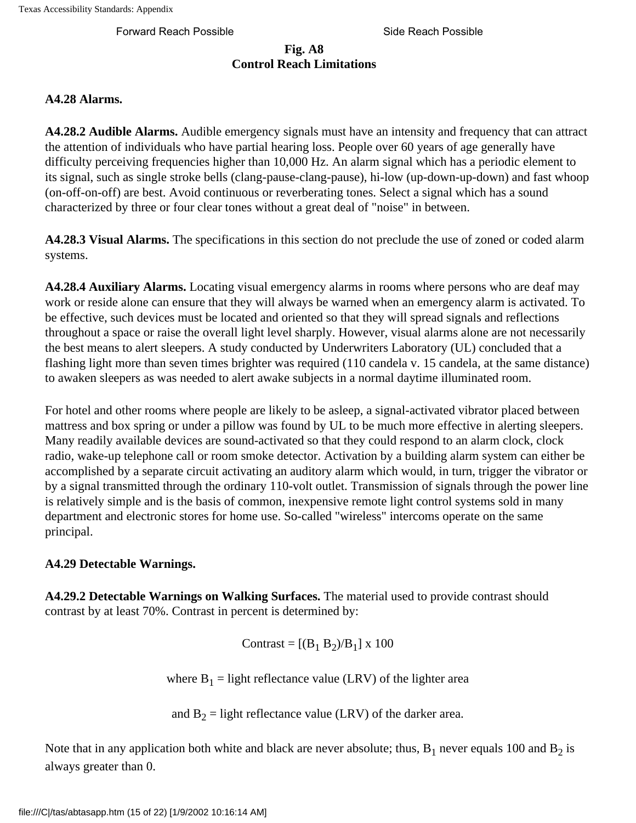Forward Reach Possible Side Reach Possible

#### **Fig. A8 Control Reach Limitations**

## **A4.28 Alarms.**

**A4.28.2 Audible Alarms.** Audible emergency signals must have an intensity and frequency that can attract the attention of individuals who have partial hearing loss. People over 60 years of age generally have difficulty perceiving frequencies higher than 10,000 Hz. An alarm signal which has a periodic element to its signal, such as single stroke bells (clang-pause-clang-pause), hi-low (up-down-up-down) and fast whoop (on-off-on-off) are best. Avoid continuous or reverberating tones. Select a signal which has a sound characterized by three or four clear tones without a great deal of "noise" in between.

**A4.28.3 Visual Alarms.** The specifications in this section do not preclude the use of zoned or coded alarm systems.

**A4.28.4 Auxiliary Alarms.** Locating visual emergency alarms in rooms where persons who are deaf may work or reside alone can ensure that they will always be warned when an emergency alarm is activated. To be effective, such devices must be located and oriented so that they will spread signals and reflections throughout a space or raise the overall light level sharply. However, visual alarms alone are not necessarily the best means to alert sleepers. A study conducted by Underwriters Laboratory (UL) concluded that a flashing light more than seven times brighter was required (110 candela v. 15 candela, at the same distance) to awaken sleepers as was needed to alert awake subjects in a normal daytime illuminated room.

For hotel and other rooms where people are likely to be asleep, a signal-activated vibrator placed between mattress and box spring or under a pillow was found by UL to be much more effective in alerting sleepers. Many readily available devices are sound-activated so that they could respond to an alarm clock, clock radio, wake-up telephone call or room smoke detector. Activation by a building alarm system can either be accomplished by a separate circuit activating an auditory alarm which would, in turn, trigger the vibrator or by a signal transmitted through the ordinary 110-volt outlet. Transmission of signals through the power line is relatively simple and is the basis of common, inexpensive remote light control systems sold in many department and electronic stores for home use. So-called "wireless" intercoms operate on the same principal.

# **A4.29 Detectable Warnings.**

**A4.29.2 Detectable Warnings on Walking Surfaces.** The material used to provide contrast should contrast by at least 70%. Contrast in percent is determined by:

Contrast =  $[(B_1 B_2)/B_1] \times 100$ 

where  $B_1$  = light reflectance value (LRV) of the lighter area

and  $B_2$  = light reflectance value (LRV) of the darker area.

Note that in any application both white and black are never absolute; thus,  $B_1$  never equals 100 and  $B_2$  is always greater than 0.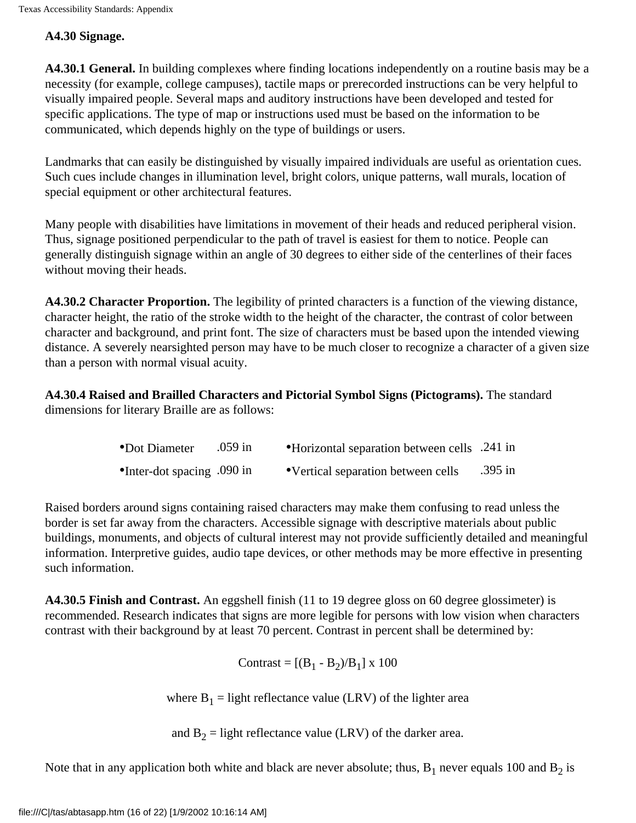# **A4.30 Signage.**

**A4.30.1 General.** In building complexes where finding locations independently on a routine basis may be a necessity (for example, college campuses), tactile maps or prerecorded instructions can be very helpful to visually impaired people. Several maps and auditory instructions have been developed and tested for specific applications. The type of map or instructions used must be based on the information to be communicated, which depends highly on the type of buildings or users.

Landmarks that can easily be distinguished by visually impaired individuals are useful as orientation cues. Such cues include changes in illumination level, bright colors, unique patterns, wall murals, location of special equipment or other architectural features.

Many people with disabilities have limitations in movement of their heads and reduced peripheral vision. Thus, signage positioned perpendicular to the path of travel is easiest for them to notice. People can generally distinguish signage within an angle of 30 degrees to either side of the centerlines of their faces without moving their heads.

**A4.30.2 Character Proportion.** The legibility of printed characters is a function of the viewing distance, character height, the ratio of the stroke width to the height of the character, the contrast of color between character and background, and print font. The size of characters must be based upon the intended viewing distance. A severely nearsighted person may have to be much closer to recognize a character of a given size than a person with normal visual acuity.

**A4.30.4 Raised and Brailled Characters and Pictorial Symbol Signs (Pictograms).** The standard dimensions for literary Braille are as follows:

| •Dot Diameter              | $.059$ in | •Horizontal separation between cells .241 in |         |
|----------------------------|-----------|----------------------------------------------|---------|
| •Inter-dot spacing .090 in |           | •Vertical separation between cells           | .395 in |

Raised borders around signs containing raised characters may make them confusing to read unless the border is set far away from the characters. Accessible signage with descriptive materials about public buildings, monuments, and objects of cultural interest may not provide sufficiently detailed and meaningful information. Interpretive guides, audio tape devices, or other methods may be more effective in presenting such information.

**A4.30.5 Finish and Contrast.** An eggshell finish (11 to 19 degree gloss on 60 degree glossimeter) is recommended. Research indicates that signs are more legible for persons with low vision when characters contrast with their background by at least 70 percent. Contrast in percent shall be determined by:

Contrast =  $[(B_1 - B_2)/B_1] \times 100$ 

where  $B_1$  = light reflectance value (LRV) of the lighter area

and  $B_2$  = light reflectance value (LRV) of the darker area.

Note that in any application both white and black are never absolute; thus,  $B_1$  never equals 100 and  $B_2$  is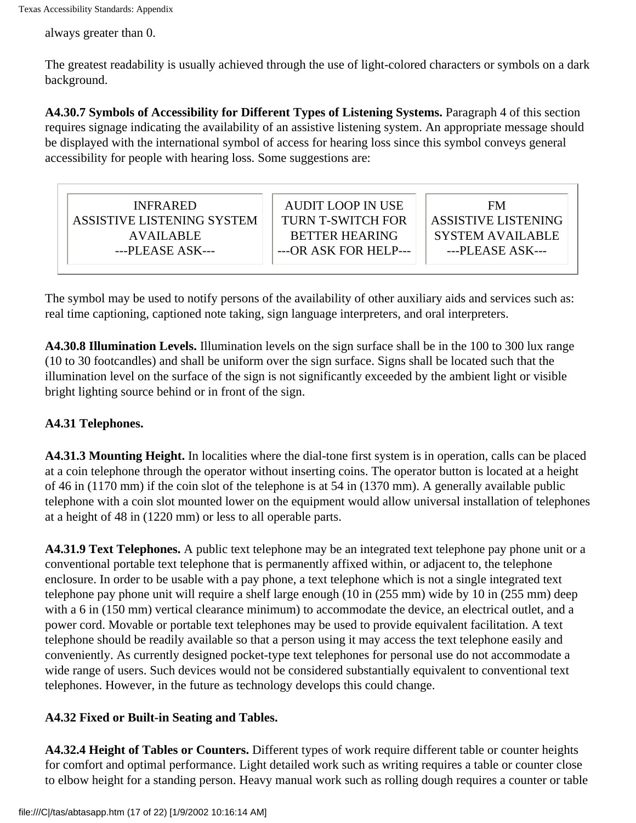always greater than 0.

The greatest readability is usually achieved through the use of light-colored characters or symbols on a dark background.

**A4.30.7 Symbols of Accessibility for Different Types of Listening Systems.** Paragraph 4 of this section requires signage indicating the availability of an assistive listening system. An appropriate message should be displayed with the international symbol of access for hearing loss since this symbol conveys general accessibility for people with hearing loss. Some suggestions are:

|  |  | <b>INFRARED</b><br>ASSISTIVE LISTENING SYSTEM<br>AVAILARLE<br>$--PLEASE ASK--$ | AUDIT LOOP IN USE<br><b>TURN T-SWITCH FOR</b><br><b>BETTER HEARING</b><br>$-$ --OR ASK FOR HELP--- | <b>FM</b><br>ASSISTIVE LISTENING<br>SYSTEM AVAILABLE<br>$--PLEASE ASK--$ |
|--|--|--------------------------------------------------------------------------------|----------------------------------------------------------------------------------------------------|--------------------------------------------------------------------------|
|--|--|--------------------------------------------------------------------------------|----------------------------------------------------------------------------------------------------|--------------------------------------------------------------------------|

The symbol may be used to notify persons of the availability of other auxiliary aids and services such as: real time captioning, captioned note taking, sign language interpreters, and oral interpreters.

**A4.30.8 Illumination Levels.** Illumination levels on the sign surface shall be in the 100 to 300 lux range (10 to 30 footcandles) and shall be uniform over the sign surface. Signs shall be located such that the illumination level on the surface of the sign is not significantly exceeded by the ambient light or visible bright lighting source behind or in front of the sign.

# **A4.31 Telephones.**

**A4.31.3 Mounting Height.** In localities where the dial-tone first system is in operation, calls can be placed at a coin telephone through the operator without inserting coins. The operator button is located at a height of 46 in (1170 mm) if the coin slot of the telephone is at 54 in (1370 mm). A generally available public telephone with a coin slot mounted lower on the equipment would allow universal installation of telephones at a height of 48 in (1220 mm) or less to all operable parts.

**A4.31.9 Text Telephones.** A public text telephone may be an integrated text telephone pay phone unit or a conventional portable text telephone that is permanently affixed within, or adjacent to, the telephone enclosure. In order to be usable with a pay phone, a text telephone which is not a single integrated text telephone pay phone unit will require a shelf large enough (10 in (255 mm) wide by 10 in (255 mm) deep with a 6 in (150 mm) vertical clearance minimum) to accommodate the device, an electrical outlet, and a power cord. Movable or portable text telephones may be used to provide equivalent facilitation. A text telephone should be readily available so that a person using it may access the text telephone easily and conveniently. As currently designed pocket-type text telephones for personal use do not accommodate a wide range of users. Such devices would not be considered substantially equivalent to conventional text telephones. However, in the future as technology develops this could change.

# **A4.32 Fixed or Built-in Seating and Tables.**

**A4.32.4 Height of Tables or Counters.** Different types of work require different table or counter heights for comfort and optimal performance. Light detailed work such as writing requires a table or counter close to elbow height for a standing person. Heavy manual work such as rolling dough requires a counter or table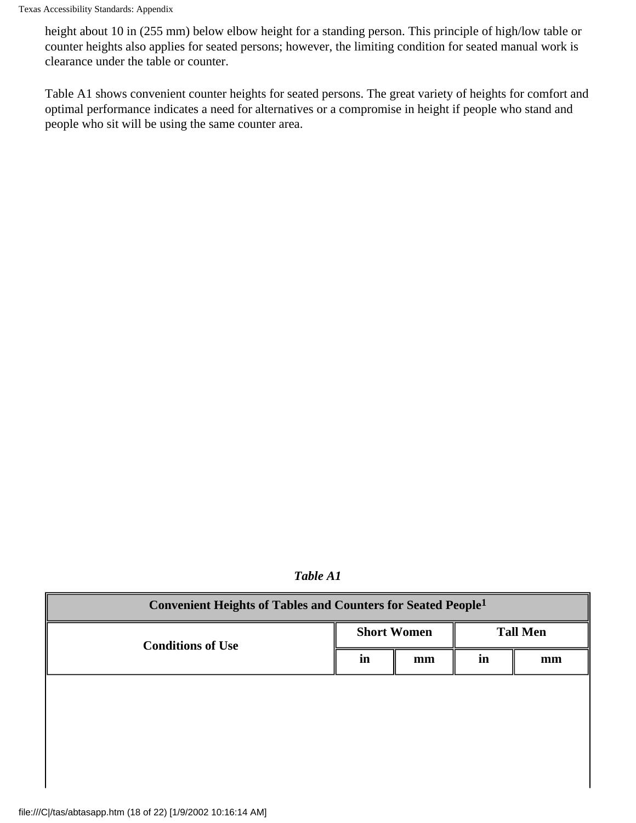height about 10 in (255 mm) below elbow height for a standing person. This principle of high/low table or counter heights also applies for seated persons; however, the limiting condition for seated manual work is clearance under the table or counter.

Table A1 shows convenient counter heights for seated persons. The great variety of heights for comfort and optimal performance indicates a need for alternatives or a compromise in height if people who stand and people who sit will be using the same counter area.

*Table A1*

| <b>Convenient Heights of Tables and Counters for Seated People1</b> |    |                 |    |
|---------------------------------------------------------------------|----|-----------------|----|
| <b>Short Women</b>                                                  |    | <b>Tall Men</b> |    |
| in                                                                  | mm | in              | mm |
|                                                                     |    |                 |    |
|                                                                     |    |                 |    |
|                                                                     |    |                 |    |
|                                                                     |    |                 |    |
|                                                                     |    |                 |    |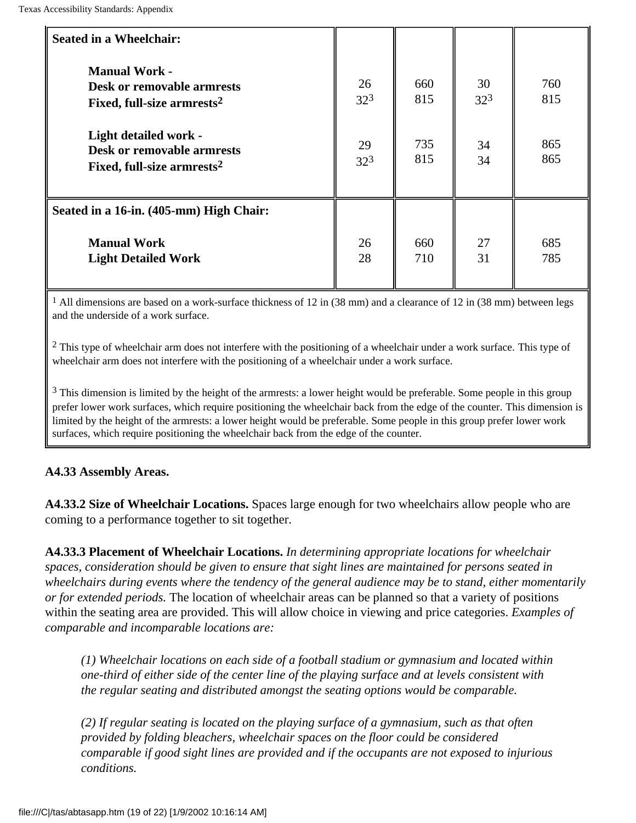| <b>Seated in a Wheelchair:</b>                                                                      |                       |            |                       |            |
|-----------------------------------------------------------------------------------------------------|-----------------------|------------|-----------------------|------------|
| <b>Manual Work -</b><br><b>Desk or removable armrests</b><br>Fixed, full-size armrests <sup>2</sup> | 26<br>32 <sup>3</sup> | 660<br>815 | 30<br>32 <sup>3</sup> | 760<br>815 |
| Light detailed work -<br>Desk or removable armrests<br>Fixed, full-size armrests <sup>2</sup>       | 29<br>32 <sup>3</sup> | 735<br>815 | 34<br>34              | 865<br>865 |
| Seated in a 16-in. (405-mm) High Chair:                                                             |                       |            |                       |            |
| <b>Manual Work</b><br><b>Light Detailed Work</b>                                                    | 26<br>28              | 660<br>710 | 27<br>31              | 685<br>785 |

<sup>1</sup> All dimensions are based on a work-surface thickness of 12 in (38 mm) and a clearance of 12 in (38 mm) between legs and the underside of a work surface.

<sup>2</sup> This type of wheelchair arm does not interfere with the positioning of a wheelchair under a work surface. This type of wheelchair arm does not interfere with the positioning of a wheelchair under a work surface.

<sup>3</sup> This dimension is limited by the height of the armrests: a lower height would be preferable. Some people in this group prefer lower work surfaces, which require positioning the wheelchair back from the edge of the counter. This dimension is limited by the height of the armrests: a lower height would be preferable. Some people in this group prefer lower work surfaces, which require positioning the wheelchair back from the edge of the counter.

## **A4.33 Assembly Areas.**

**A4.33.2 Size of Wheelchair Locations.** Spaces large enough for two wheelchairs allow people who are coming to a performance together to sit together.

**A4.33.3 Placement of Wheelchair Locations.** *In determining appropriate locations for wheelchair spaces, consideration should be given to ensure that sight lines are maintained for persons seated in wheelchairs during events where the tendency of the general audience may be to stand, either momentarily or for extended periods.* The location of wheelchair areas can be planned so that a variety of positions within the seating area are provided. This will allow choice in viewing and price categories. *Examples of comparable and incomparable locations are:*

*(1) Wheelchair locations on each side of a football stadium or gymnasium and located within one-third of either side of the center line of the playing surface and at levels consistent with the regular seating and distributed amongst the seating options would be comparable.*

*(2) If regular seating is located on the playing surface of a gymnasium, such as that often provided by folding bleachers, wheelchair spaces on the floor could be considered comparable if good sight lines are provided and if the occupants are not exposed to injurious conditions.*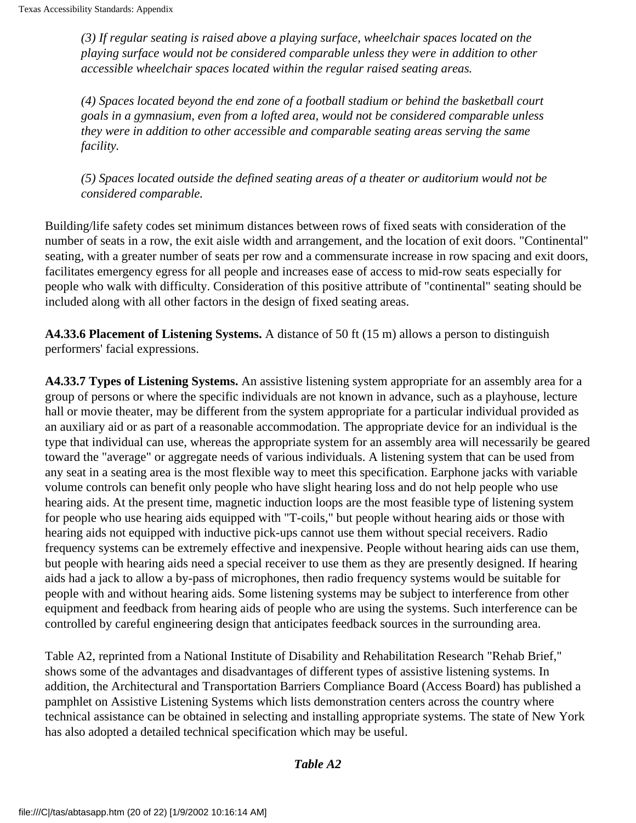*(3) If regular seating is raised above a playing surface, wheelchair spaces located on the playing surface would not be considered comparable unless they were in addition to other accessible wheelchair spaces located within the regular raised seating areas.*

*(4) Spaces located beyond the end zone of a football stadium or behind the basketball court goals in a gymnasium, even from a lofted area, would not be considered comparable unless they were in addition to other accessible and comparable seating areas serving the same facility.*

*(5) Spaces located outside the defined seating areas of a theater or auditorium would not be considered comparable.* 

Building/life safety codes set minimum distances between rows of fixed seats with consideration of the number of seats in a row, the exit aisle width and arrangement, and the location of exit doors. "Continental" seating, with a greater number of seats per row and a commensurate increase in row spacing and exit doors, facilitates emergency egress for all people and increases ease of access to mid-row seats especially for people who walk with difficulty. Consideration of this positive attribute of "continental" seating should be included along with all other factors in the design of fixed seating areas.

**A4.33.6 Placement of Listening Systems.** A distance of 50 ft (15 m) allows a person to distinguish performers' facial expressions.

**A4.33.7 Types of Listening Systems.** An assistive listening system appropriate for an assembly area for a group of persons or where the specific individuals are not known in advance, such as a playhouse, lecture hall or movie theater, may be different from the system appropriate for a particular individual provided as an auxiliary aid or as part of a reasonable accommodation. The appropriate device for an individual is the type that individual can use, whereas the appropriate system for an assembly area will necessarily be geared toward the "average" or aggregate needs of various individuals. A listening system that can be used from any seat in a seating area is the most flexible way to meet this specification. Earphone jacks with variable volume controls can benefit only people who have slight hearing loss and do not help people who use hearing aids. At the present time, magnetic induction loops are the most feasible type of listening system for people who use hearing aids equipped with "T-coils," but people without hearing aids or those with hearing aids not equipped with inductive pick-ups cannot use them without special receivers. Radio frequency systems can be extremely effective and inexpensive. People without hearing aids can use them, but people with hearing aids need a special receiver to use them as they are presently designed. If hearing aids had a jack to allow a by-pass of microphones, then radio frequency systems would be suitable for people with and without hearing aids. Some listening systems may be subject to interference from other equipment and feedback from hearing aids of people who are using the systems. Such interference can be controlled by careful engineering design that anticipates feedback sources in the surrounding area.

Table A2, reprinted from a National Institute of Disability and Rehabilitation Research "Rehab Brief," shows some of the advantages and disadvantages of different types of assistive listening systems. In addition, the Architectural and Transportation Barriers Compliance Board (Access Board) has published a pamphlet on Assistive Listening Systems which lists demonstration centers across the country where technical assistance can be obtained in selecting and installing appropriate systems. The state of New York has also adopted a detailed technical specification which may be useful.

*Table A2*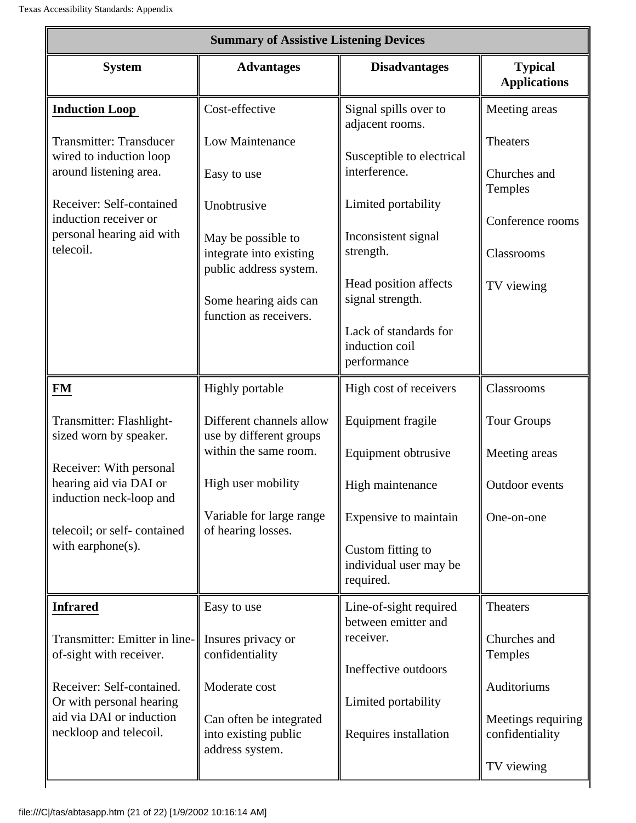| <b>Summary of Assistive Listening Devices</b>                                                                                                                                                               |                                                                                                                                                                                               |                                                                                                                                                                                                                                                          |                                                                                                                  |
|-------------------------------------------------------------------------------------------------------------------------------------------------------------------------------------------------------------|-----------------------------------------------------------------------------------------------------------------------------------------------------------------------------------------------|----------------------------------------------------------------------------------------------------------------------------------------------------------------------------------------------------------------------------------------------------------|------------------------------------------------------------------------------------------------------------------|
| <b>System</b>                                                                                                                                                                                               | <b>Advantages</b>                                                                                                                                                                             | <b>Disadvantages</b>                                                                                                                                                                                                                                     | <b>Typical</b><br><b>Applications</b>                                                                            |
| <b>Induction Loop</b><br><b>Transmitter: Transducer</b><br>wired to induction loop<br>around listening area.<br>Receiver: Self-contained<br>induction receiver or<br>personal hearing aid with<br>telecoil. | Cost-effective<br>Low Maintenance<br>Easy to use<br>Unobtrusive<br>May be possible to<br>integrate into existing<br>public address system.<br>Some hearing aids can<br>function as receivers. | Signal spills over to<br>adjacent rooms.<br>Susceptible to electrical<br>interference.<br>Limited portability<br>Inconsistent signal<br>strength.<br>Head position affects<br>signal strength.<br>Lack of standards for<br>induction coil<br>performance | Meeting areas<br><b>Theaters</b><br>Churches and<br>Temples<br>Conference rooms<br>Classrooms<br>TV viewing      |
| <b>FM</b><br>Transmitter: Flashlight-<br>sized worn by speaker.<br>Receiver: With personal<br>hearing aid via DAI or<br>induction neck-loop and<br>telecoil; or self-contained<br>with earphone(s).         | Highly portable<br>Different channels allow<br>use by different groups<br>within the same room.<br>High user mobility<br>Variable for large range<br>of hearing losses.                       | High cost of receivers<br>Equipment fragile<br>Equipment obtrusive<br>High maintenance<br>Expensive to maintain<br>Custom fitting to<br>individual user may be<br>required.                                                                              | Classrooms<br><b>Tour Groups</b><br>Meeting areas<br>Outdoor events<br>One-on-one                                |
| <b>Infrared</b><br>Transmitter: Emitter in line-<br>of-sight with receiver.<br>Receiver: Self-contained.<br>Or with personal hearing<br>aid via DAI or induction<br>neckloop and telecoil.                  | Easy to use<br>Insures privacy or<br>confidentiality<br>Moderate cost<br>Can often be integrated<br>into existing public<br>address system.                                                   | Line-of-sight required<br>between emitter and<br>receiver.<br>Ineffective outdoors<br>Limited portability<br>Requires installation                                                                                                                       | <b>Theaters</b><br>Churches and<br>Temples<br>Auditoriums<br>Meetings requiring<br>confidentiality<br>TV viewing |